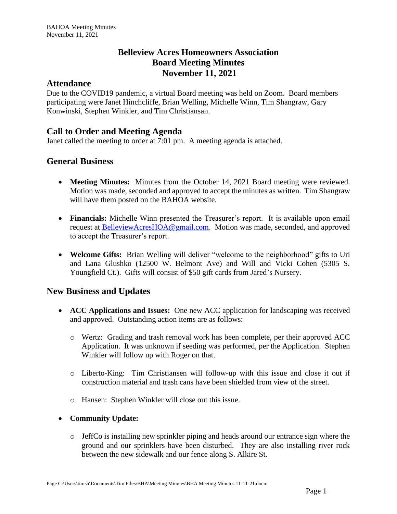# **Belleview Acres Homeowners Association Board Meeting Minutes November 11, 2021**

#### **Attendance**

Due to the COVID19 pandemic, a virtual Board meeting was held on Zoom. Board members participating were Janet Hinchcliffe, Brian Welling, Michelle Winn, Tim Shangraw, Gary Konwinski, Stephen Winkler, and Tim Christiansan.

# **Call to Order and Meeting Agenda**

Janet called the meeting to order at 7:01 pm. A meeting agenda is attached.

### **General Business**

- **Meeting Minutes:** Minutes from the October 14, 2021 Board meeting were reviewed. Motion was made, seconded and approved to accept the minutes as written. Tim Shangraw will have them posted on the BAHOA website.
- **Financials:** Michelle Winn presented the Treasurer's report. It is available upon email request at [BelleviewAcresHOA@gmail.com.](mailto:BelleviewAcresHOA@gmail.com) Motion was made, seconded, and approved to accept the Treasurer's report.
- **Welcome Gifts:** Brian Welling will deliver "welcome to the neighborhood" gifts to Uri and Lana Glushko (12500 W. Belmont Ave) and Will and Vicki Cohen (5305 S. Youngfield Ct.). Gifts will consist of \$50 gift cards from Jared's Nursery.

# **New Business and Updates**

- **ACC Applications and Issues:** One new ACC application for landscaping was received and approved. Outstanding action items are as follows:
	- o Wertz: Grading and trash removal work has been complete, per their approved ACC Application. It was unknown if seeding was performed, per the Application. Stephen Winkler will follow up with Roger on that.
	- o Liberto-King: Tim Christiansen will follow-up with this issue and close it out if construction material and trash cans have been shielded from view of the street.
	- o Hansen: Stephen Winkler will close out this issue.
- **Community Update:**
	- $\circ$  JeffCo is installing new sprinkler piping and heads around our entrance sign where the ground and our sprinklers have been disturbed. They are also installing river rock between the new sidewalk and our fence along S. Alkire St.